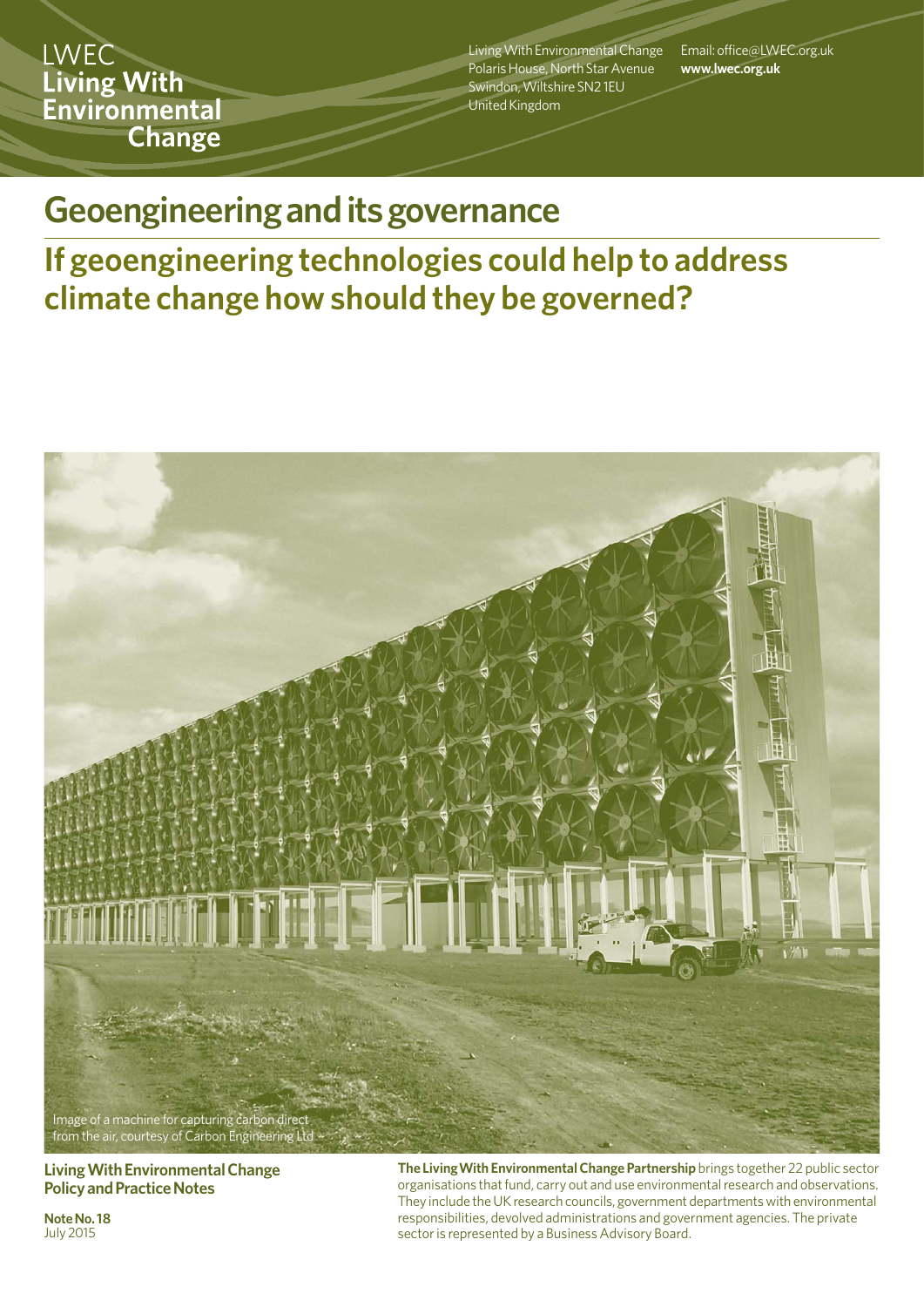**LWEC** Living With Environmental Change

Living With Environmental Change Polaris House, North Star Avenue Swindon, Wiltshire SN2 1EU United Kingdom

Email: office@LWEC.org.uk **www.lwec.org.uk**

# **Geoengineering and its governance**

# **If geoengineering technologies could help to address climate change how should they be governed?**



**Living With Environmental Change Policy and Practice Notes**

**Note No. 18 July 2015** 

**The LivingWith Environmental Change Partnership** brings together 22 public sector organisations that fund, carry out and use environmental research and observations. They include the UK research councils, government departments with environmental responsibilities, devolved administrations and government agencies. The private sector is represented by a Business Advisory Board.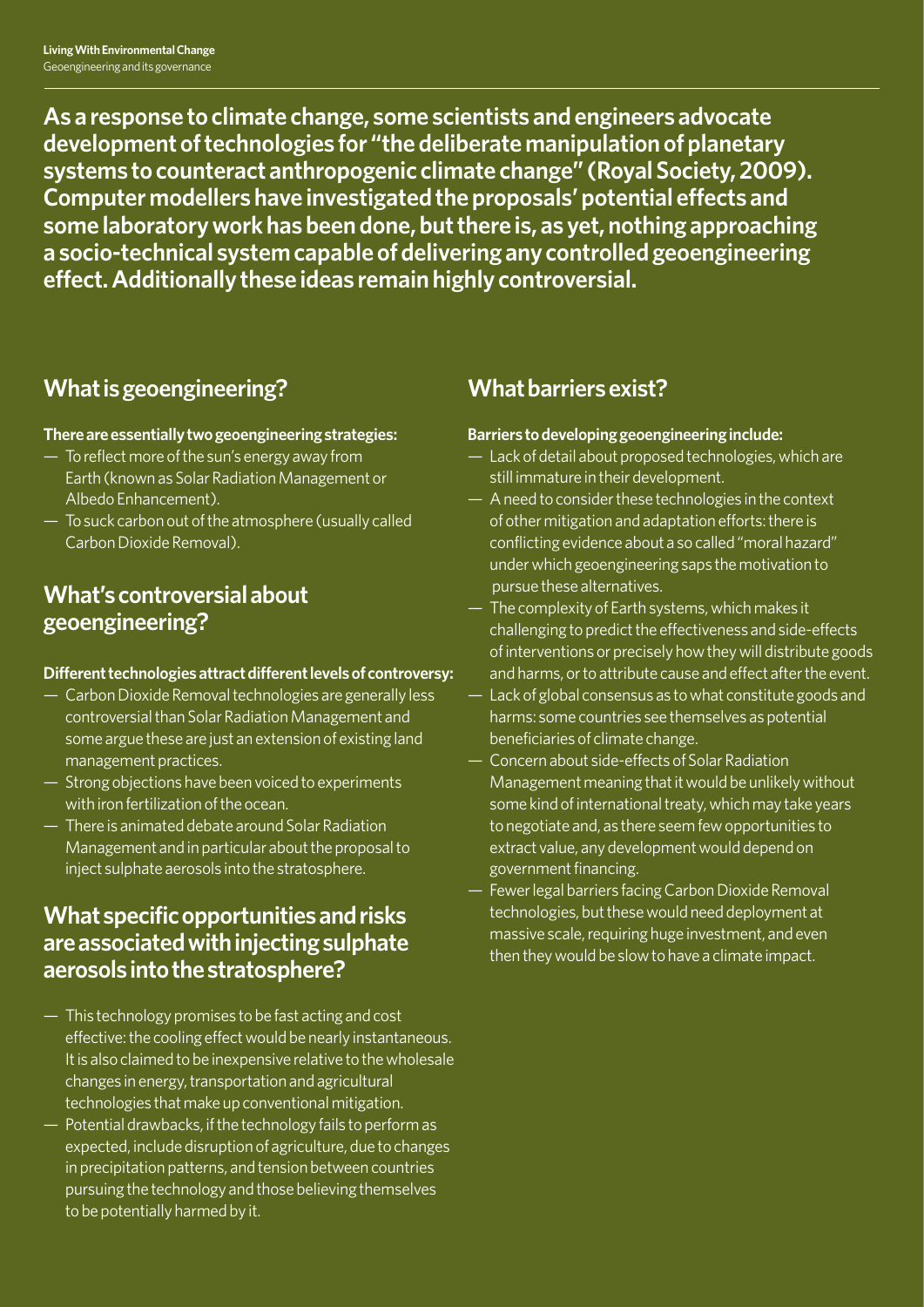**As a response to climate change, some scientists and engineers advocate development of technologies for "the deliberate manipulation of planetary systems to counteract anthropogenic climate change" (Royal Society, 2009). Computer modellers have investigated the proposals' potential effects and some laboratory work has been done, but there is, as yet, nothing approaching a socio-technical system capable of delivering any controlled geoengineering effect. Additionally these ideas remain highly controversial.** 

# **What is geoengineering?**

### **There are essentially two geoengineering strategies:**

- To reflect more of the sun's energy away from Earth (known as Solar Radiation Management or Albedo Enhancement).
- To suck carbon out of the atmosphere (usually called Carbon Dioxide Removal).

### **What's controversial about geoengineering?**

#### **Different technologies attract different levels of controversy:**

- Carbon Dioxide Removal technologies are generally less controversial than Solar Radiation Management and some argue these are just an extension of existing land management practices.
- Strong objections have been voiced to experiments with iron fertilization of the ocean.
- There is animated debate around Solar Radiation Management and in particular about the proposal to inject sulphate aerosols into the stratosphere.

### **What specific opportunities and risks are associated with injecting sulphate aerosols into the stratosphere?**

- This technology promises to be fast acting and cost effective: the cooling effect would be nearly instantaneous. It is also claimed to be inexpensive relative to the wholesale changes in energy, transportation and agricultural technologies that make up conventional mitigation.
- Potential drawbacks, if the technology fails to perform as expected, include disruption of agriculture, due to changes in precipitation patterns, and tension between countries pursuing the technology and those believing themselves to be potentially harmed by it.

# **What barriers exist?**

### **Barriers to developing geoengineering include:**

- Lack of detail about proposed technologies, which are still immature in their development.
- A need to consider these technologies in the context of other mitigation and adaptation efforts: there is conflicting evidence about a so called "moral hazard" under which geoengineering saps the motivation to pursue these alternatives.
- The complexity of Earth systems, which makes it challenging to predict the effectiveness and side-effects of interventions or precisely how they will distribute goods and harms, or to attribute cause and effect after the event.
- Lack of global consensus as to what constitute goods and harms: some countries see themselves as potential beneficiaries of climate change.
- Concern about side-effects of Solar Radiation Management meaning that it would be unlikely without some kind of international treaty, which may take years to negotiate and, as there seem few opportunities to extract value, any development would depend on government financing.
- Fewer legal barriers facing Carbon Dioxide Removal technologies, but these would need deployment at massive scale, requiring huge investment, and even then they would be slow to have a climate impact.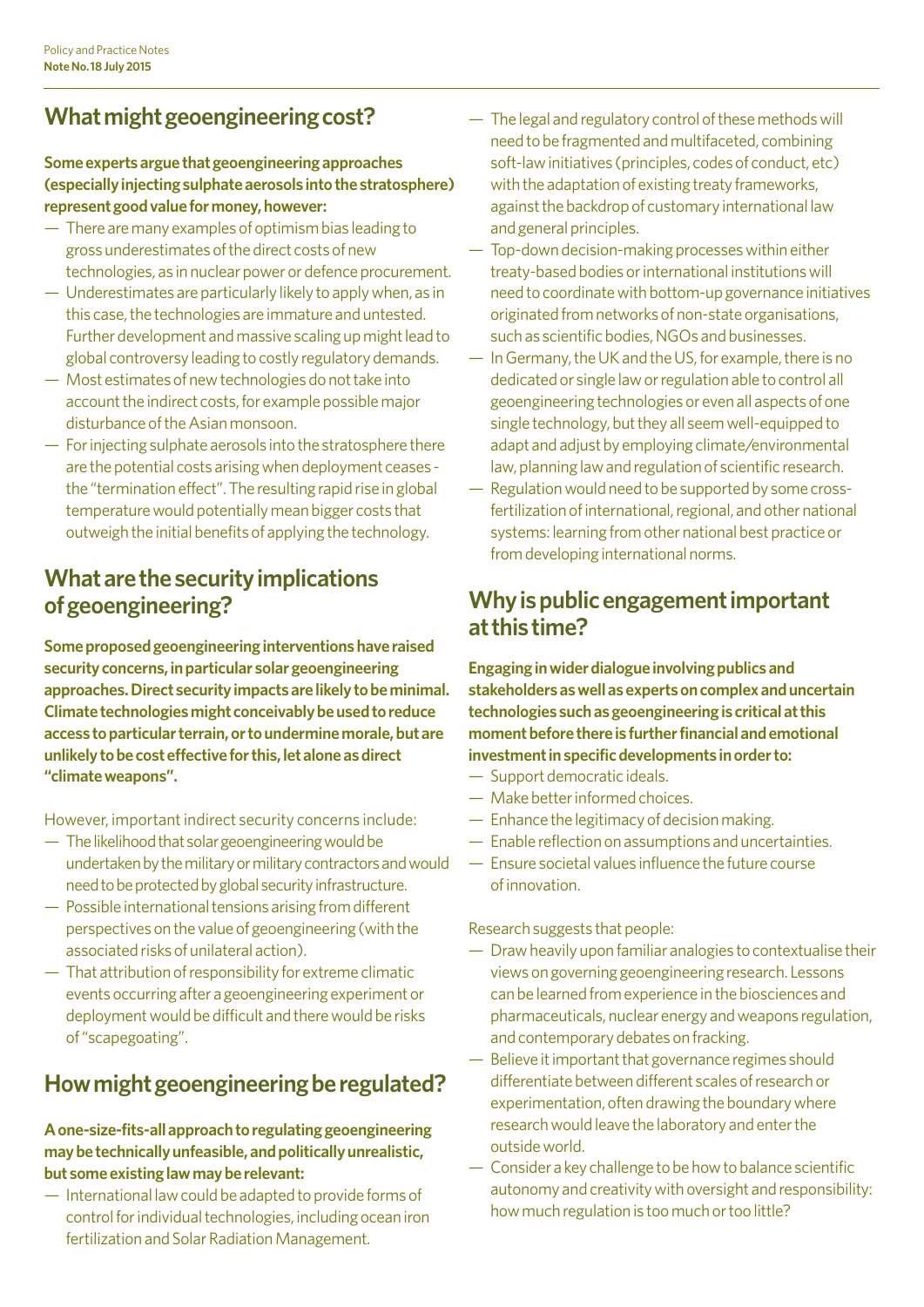# **What might geoengineering cost?**

### **Some experts argue that geoengineering approaches (especially injecting sulphate aerosols into the stratosphere) represent good value for money, however:**

- There are many examples of optimism bias leading to gross underestimates of the direct costs of new technologies, as in nuclear power or defence procurement.
- Underestimates are particularly likely to apply when, as in this case, the technologies are immature and untested. Further development and massive scaling up might lead to global controversy leading to costly regulatory demands.
- Most estimates of new technologies do not take into account the indirect costs, for example possible major disturbance of the Asian monsoon.
- For injecting sulphate aerosols into the stratosphere there are the potential costs arising when deployment ceases the "termination effect". The resulting rapid rise in global temperature would potentially mean bigger costs that outweigh the initial benefits of applying the technology.

## **What are the security implications of geoengineering?**

**Some proposed geoengineering interventions have raised security concerns, in particular solar geoengineering approaches. Direct security impacts are likely to be minimal. Climate technologies might conceivably be used to reduce access to particular terrain, or to undermine morale, but are unlikely to be cost effective for this, let alone as direct "climate weapons".** 

However, important indirect security concerns include:

- The likelihood that solar geoengineering would be undertaken by the military or military contractors and would need to be protected by global security infrastructure.
- Possible international tensions arising from different perspectives on the value of geoengineering (with the associated risks of unilateral action).
- That attribution of responsibility for extreme climatic events occurring after a geoengineering experiment or deployment would be difficult and there would be risks of "scapegoating".

# **How might geoengineering be regulated?**

### **A one-size-fits-all approach to regulating geoengineering may be technically unfeasible, and politically unrealistic, but some existing law may be relevant:**

— International law could be adapted to provide forms of control for individual technologies, including ocean iron fertilization and Solar Radiation Management.

- The legal and regulatory control of these methods will need to be fragmented and multifaceted, combining soft-law initiatives (principles, codes of conduct, etc) with the adaptation of existing treaty frameworks, against the backdrop of customary international law and general principles.
- Top-down decision-making processes within either treaty-based bodies or international institutions will need to coordinate with bottom-up governance initiatives originated from networks of non-state organisations, such as scientific bodies, NGOs and businesses.
- In Germany, the UK and the US, for example, there is no dedicated or single law or regulation able to control all geoengineering technologies or even all aspects of one single technology, but they all seem well-equipped to adapt and adjust by employing climate/environmental law, planning law and regulation of scientific research.
- Regulation would need to be supported by some crossfertilization of international, regional, and other national systems: learning from other national best practice or from developing international norms.

# **Why is public engagement important at this time?**

**Engaging in wider dialogue involving publics and stakeholders as well as experts on complex and uncertain technologies such as geoengineering is critical at this moment before there is further financial and emotional investment in specific developments in order to:** 

- Support democratic ideals.
- Make better informed choices.
- Enhance the legitimacy of decision making.
- Enable reflection on assumptions and uncertainties.
- Ensure societal values influence the future course of innovation.

Research suggests that people:

- Draw heavily upon familiar analogies to contextualise their views on governing geoengineering research. Lessons can be learned from experience in the biosciences and pharmaceuticals, nuclear energy and weapons regulation, and contemporary debates on fracking.
- Believe it important that governance regimes should differentiate between different scales of research or experimentation, often drawing the boundary where research would leave the laboratory and enter the outside world.
- Consider a key challenge to be how to balance scientific autonomy and creativity with oversight and responsibility: how much regulation is too much or too little?